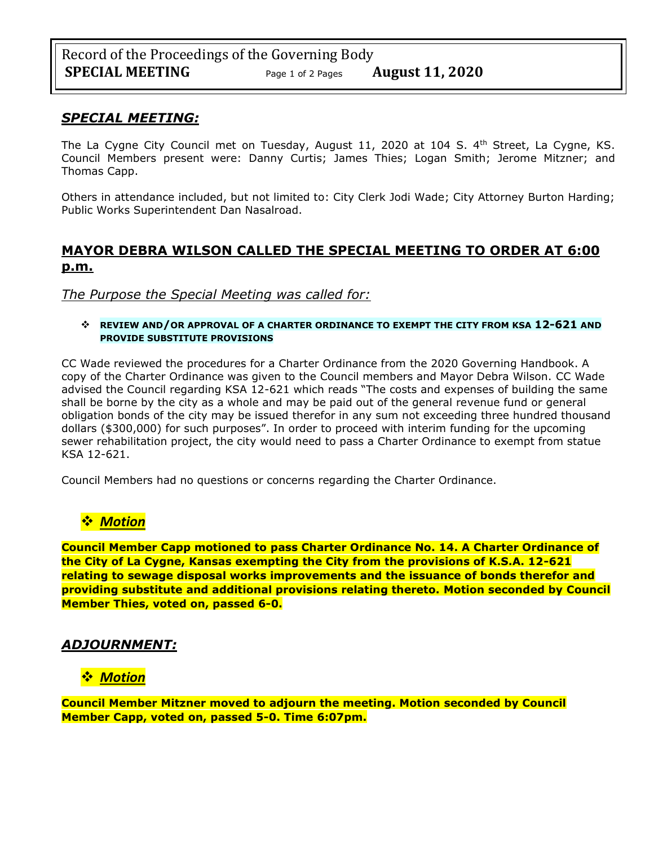### *SPECIAL MEETING:*

The La Cygne City Council met on Tuesday, August 11, 2020 at 104 S.  $4<sup>th</sup>$  Street, La Cygne, KS. Council Members present were: Danny Curtis; James Thies; Logan Smith; Jerome Mitzner; and Thomas Capp.

Others in attendance included, but not limited to: City Clerk Jodi Wade; City Attorney Burton Harding; Public Works Superintendent Dan Nasalroad.

# **MAYOR DEBRA WILSON CALLED THE SPECIAL MEETING TO ORDER AT 6:00 p.m.**

### *The Purpose the Special Meeting was called for:*

#### ❖ **REVIEW AND/OR APPROVAL OF A CHARTER ORDINANCE TO EXEMPT THE CITY FROM KSA 12-621 AND PROVIDE SUBSTITUTE PROVISIONS**

CC Wade reviewed the procedures for a Charter Ordinance from the 2020 Governing Handbook. A copy of the Charter Ordinance was given to the Council members and Mayor Debra Wilson. CC Wade advised the Council regarding KSA 12-621 which reads "The costs and expenses of building the same shall be borne by the city as a whole and may be paid out of the general revenue fund or general obligation bonds of the city may be issued therefor in any sum not exceeding three hundred thousand dollars (\$300,000) for such purposes". In order to proceed with interim funding for the upcoming sewer rehabilitation project, the city would need to pass a Charter Ordinance to exempt from statue KSA 12-621.

Council Members had no questions or concerns regarding the Charter Ordinance.

# ❖ *Motion*

**Council Member Capp motioned to pass Charter Ordinance No. 14. A Charter Ordinance of the City of La Cygne, Kansas exempting the City from the provisions of K.S.A. 12-621 relating to sewage disposal works improvements and the issuance of bonds therefor and providing substitute and additional provisions relating thereto. Motion seconded by Council Member Thies, voted on, passed 6-0.**

# *ADJOURNMENT:*

# ❖ *Motion*

**Council Member Mitzner moved to adjourn the meeting. Motion seconded by Council Member Capp, voted on, passed 5-0. Time 6:07pm.**